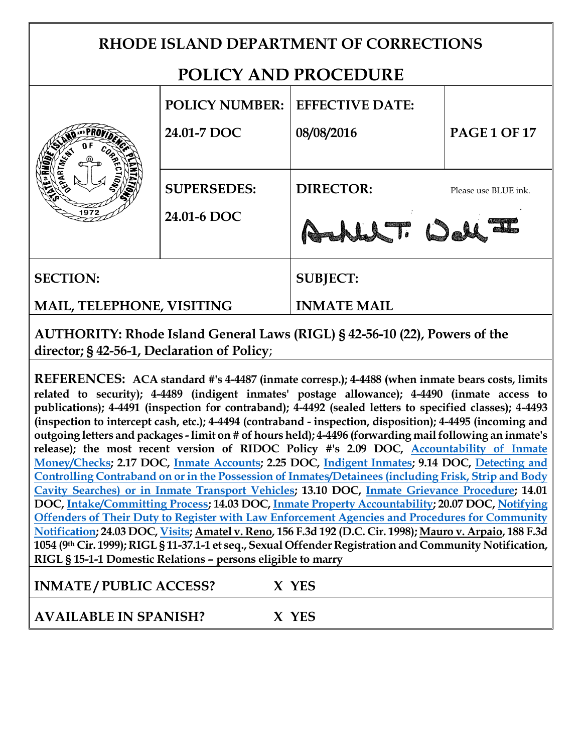# **RHODE ISLAND DEPARTMENT OF CORRECTIONS POLICY AND PROCEDURE POLICY NUMBER: EFFECTIVE DATE: 24.01-7 DOC 08/08/2016 PAGE 1 OF 17 SUPERSEDES: DIRECTOR:** Please use BLUE ink. **24.01-6 DOC** LLT: Del **SECTION: SUBJECT: MAIL, TELEPHONE, VISITING INMATE MAIL AUTHORITY: Rhode Island General Laws (RIGL) § 42-56-10 (22), Powers of the director; § 42-56-1, Declaration of Policy**; **REFERENCES: ACA standard #'s 4-4487 (inmate corresp.); 4-4488 (when inmate bears costs, limits**

**related to security); 4-4489 (indigent inmates' postage allowance); 4-4490 (inmate access to publications); 4-4491 (inspection for contraband); 4-4492 (sealed letters to specified classes); 4-4493 (inspection to intercept cash, etc.); 4-4494 (contraband - inspection, disposition); 4-4495 (incoming and outgoing letters and packages - limit on # of hours held); 4-4496 (forwarding mail following an inmate's release); the most recent version of RIDOC Policy #'s 2.09 DOC, [Accountability of Inmate](http://webserver.doc.state.ri.us.local/documents/policies/Policy2/2.09-1_Accountability%20of%20Inmate%20Money%20-%20Checks_06-07-2010_Y.pdf)  [Money/Checks;](http://webserver.doc.state.ri.us.local/documents/policies/Policy2/2.09-1_Accountability%20of%20Inmate%20Money%20-%20Checks_06-07-2010_Y.pdf) 2.17 DOC, Inmate [Accounts;](http://webserver.doc.state.ri.us.local/documents/policies/Policy2/2.17-5_Inmate%20Accounts_03-03-2014_Y.pdf) 2.25 DOC, [Indigent Inmates;](http://webserver.doc.state.ri.us.local/documents/policies/Policy2/2.25-3_Indigent%20Inmates_05-09-2011_Y.pdf) 9.14 DOC, [Detecting and](http://webserver.doc.state.ri.us.local/documents/policies/Policy9/9.14-8_Detecting%20and%20Confiscating%20Contraband%20Inmates%20Detainees%20(Frisk,%20Strip,%20Body%20Cavity%20Searches)and%20Vehicles_01-25-2016_N.pdf)  [Controlling Contraband on or in the Possession of Inmates/Detainees \(including Frisk, Strip](http://webserver.doc.state.ri.us.local/documents/policies/Policy9/9.14-8_Detecting%20and%20Confiscating%20Contraband%20Inmates%20Detainees%20(Frisk,%20Strip,%20Body%20Cavity%20Searches)and%20Vehicles_01-25-2016_N.pdf) and Body [Cavity Searches\) or in Inmate Transport Vehicles;](http://webserver.doc.state.ri.us.local/documents/policies/Policy9/9.14-8_Detecting%20and%20Confiscating%20Contraband%20Inmates%20Detainees%20(Frisk,%20Strip,%20Body%20Cavity%20Searches)and%20Vehicles_01-25-2016_N.pdf) 13.10 DOC, [Inmate Grievance Procedure;](http://webserver.doc.state.ri.us.local/documents/policies/Policy13/13.10-2_Inmate%20Grievance%20Procedure_02-10-2014_Y.pdf) 14.01 DOC, [Intake/Committing Process;](http://webserver.doc.state.ri.us.local/documents/policies/Policy14/14.01-2_Intake-Committing%20Process_03-24-2014_Y.pdf) 14.03 DOC, [Inmate Property Accountability;](http://webserver.doc.state.ri.us.local/documents/policies/Policy14/14.03-3_Imate%20Property%20Accountability_01-08-2014_Y.pdf) 20.07 DOC[, Notifying](http://webserver.doc.state.ri.us.local/documents/policies/Policy20/20.07-2_Notifying%20Offenders%20of%20their%20Duty%20to%20Register%20with%20Law%20Enforcement%20Agencies%20and%20Procedures%20for%20Community%20Notification_07-26-2010_Y.pdf)  [Offenders of Their Duty to Register with Law Enforcement Agencies and Procedures for Community](http://webserver.doc.state.ri.us.local/documents/policies/Policy20/20.07-2_Notifying%20Offenders%20of%20their%20Duty%20to%20Register%20with%20Law%20Enforcement%20Agencies%20and%20Procedures%20for%20Community%20Notification_07-26-2010_Y.pdf)  [Notification;](http://webserver.doc.state.ri.us.local/documents/policies/Policy20/20.07-2_Notifying%20Offenders%20of%20their%20Duty%20to%20Register%20with%20Law%20Enforcement%20Agencies%20and%20Procedures%20for%20Community%20Notification_07-26-2010_Y.pdf) 24.03 DOC[, Visits;](http://webserver.doc.state.ri.us.local/documents/policies/Policy24/24.03-4_Visits_11-10-2008_Y.pdf) Amatel v. Reno, 156 F.3d 192 (D.C. Cir. 1998); Mauro v. Arpaio, 188 F.3d 1054 (9th Cir. 1999); RIGL § 11-37.1-1 et seq., Sexual Offender Registration and Community Notification, RIGL § 15-1-1 Domestic Relations – persons eligible to marry**

**INMATE / PUBLIC ACCESS? X YES**

**AVAILABLE IN SPANISH? X YES**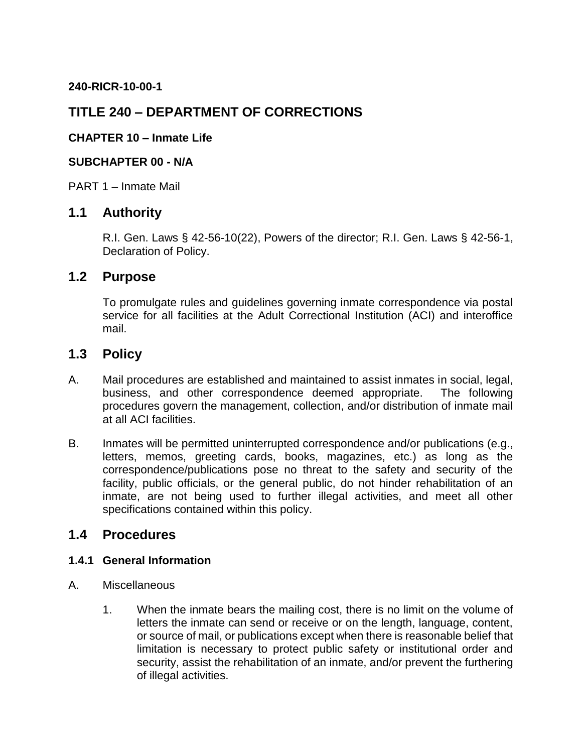**240-RICR-10-00-1**

## **TITLE 240 – DEPARTMENT OF CORRECTIONS**

## **CHAPTER 10 – Inmate Life**

### **SUBCHAPTER 00 - N/A**

PART 1 – Inmate Mail

## **1.1 Authority**

R.I. Gen. Laws § 42-56-10(22), Powers of the director; R.I. Gen. Laws § 42-56-1, Declaration of Policy.

## **1.2 Purpose**

To promulgate rules and guidelines governing inmate correspondence via postal service for all facilities at the Adult Correctional Institution (ACI) and interoffice mail.

## **1.3 Policy**

- A. Mail procedures are established and maintained to assist inmates in social, legal, business, and other correspondence deemed appropriate. The following procedures govern the management, collection, and/or distribution of inmate mail at all ACI facilities.
- B. Inmates will be permitted uninterrupted correspondence and/or publications (e.g., letters, memos, greeting cards, books, magazines, etc.) as long as the correspondence/publications pose no threat to the safety and security of the facility, public officials, or the general public, do not hinder rehabilitation of an inmate, are not being used to further illegal activities, and meet all other specifications contained within this policy.

## **1.4 Procedures**

#### **1.4.1 General Information**

- A. Miscellaneous
	- 1. When the inmate bears the mailing cost, there is no limit on the volume of letters the inmate can send or receive or on the length, language, content, or source of mail, or publications except when there is reasonable belief that limitation is necessary to protect public safety or institutional order and security, assist the rehabilitation of an inmate, and/or prevent the furthering of illegal activities.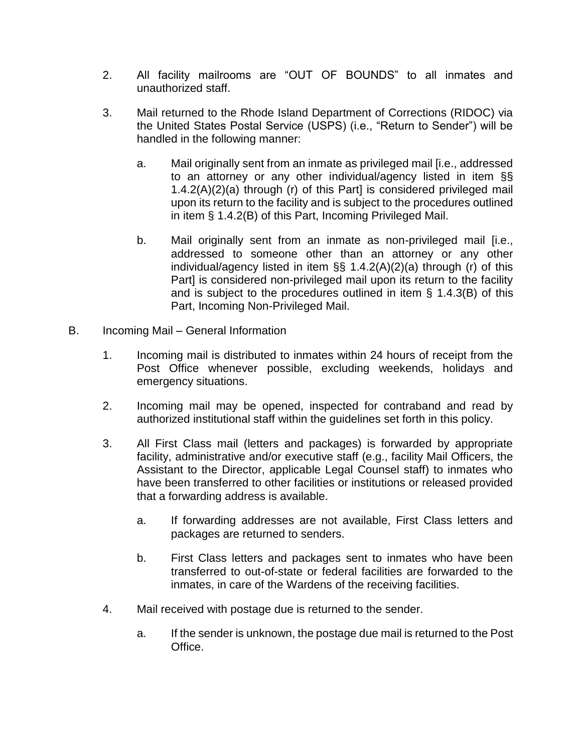- 2. All facility mailrooms are "OUT OF BOUNDS" to all inmates and unauthorized staff.
- 3. Mail returned to the Rhode Island Department of Corrections (RIDOC) via the United States Postal Service (USPS) (i.e., "Return to Sender") will be handled in the following manner:
	- a. Mail originally sent from an inmate as privileged mail [i.e., addressed to an attorney or any other individual/agency listed in item §§ 1.4.2(A)(2)(a) through (r) of this Part] is considered privileged mail upon its return to the facility and is subject to the procedures outlined in item § 1.4.2(B) of this Part, Incoming Privileged Mail.
	- b. Mail originally sent from an inmate as non-privileged mail [i.e., addressed to someone other than an attorney or any other individual/agency listed in item §§ 1.4.2(A)(2)(a) through (r) of this Part] is considered non-privileged mail upon its return to the facility and is subject to the procedures outlined in item § 1.4.3(B) of this Part, Incoming Non-Privileged Mail.
- B. Incoming Mail General Information
	- 1. Incoming mail is distributed to inmates within 24 hours of receipt from the Post Office whenever possible, excluding weekends, holidays and emergency situations.
	- 2. Incoming mail may be opened, inspected for contraband and read by authorized institutional staff within the guidelines set forth in this policy.
	- 3. All First Class mail (letters and packages) is forwarded by appropriate facility, administrative and/or executive staff (e.g., facility Mail Officers, the Assistant to the Director, applicable Legal Counsel staff) to inmates who have been transferred to other facilities or institutions or released provided that a forwarding address is available.
		- a. If forwarding addresses are not available, First Class letters and packages are returned to senders.
		- b. First Class letters and packages sent to inmates who have been transferred to out-of-state or federal facilities are forwarded to the inmates, in care of the Wardens of the receiving facilities.
	- 4. Mail received with postage due is returned to the sender.
		- a. If the sender is unknown, the postage due mail is returned to the Post Office.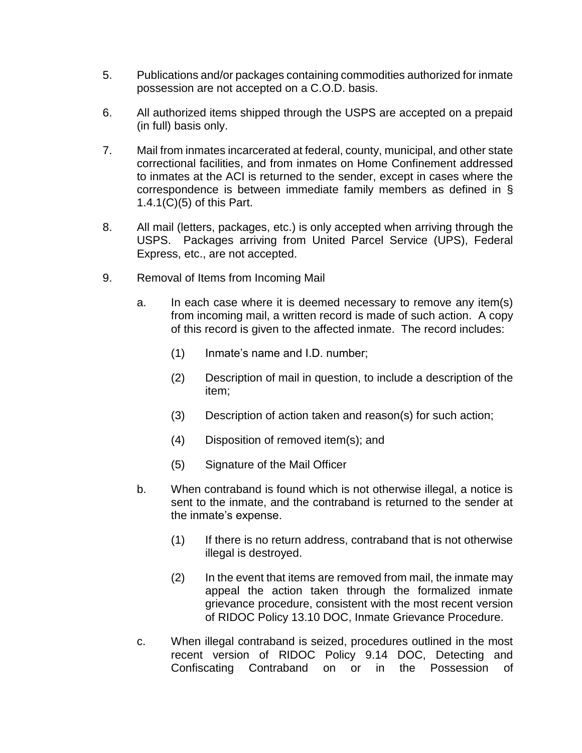- 5. Publications and/or packages containing commodities authorized for inmate possession are not accepted on a C.O.D. basis.
- 6. All authorized items shipped through the USPS are accepted on a prepaid (in full) basis only.
- 7. Mail from inmates incarcerated at federal, county, municipal, and other state correctional facilities, and from inmates on Home Confinement addressed to inmates at the ACI is returned to the sender, except in cases where the correspondence is between immediate family members as defined in § 1.4.1(C)(5) of this Part.
- 8. All mail (letters, packages, etc.) is only accepted when arriving through the USPS. Packages arriving from United Parcel Service (UPS), Federal Express, etc., are not accepted.
- 9. Removal of Items from Incoming Mail
	- a. In each case where it is deemed necessary to remove any item(s) from incoming mail, a written record is made of such action. A copy of this record is given to the affected inmate. The record includes:
		- (1) Inmate's name and I.D. number;
		- (2) Description of mail in question, to include a description of the item;
		- (3) Description of action taken and reason(s) for such action;
		- (4) Disposition of removed item(s); and
		- (5) Signature of the Mail Officer
	- b. When contraband is found which is not otherwise illegal, a notice is sent to the inmate, and the contraband is returned to the sender at the inmate's expense.
		- (1) If there is no return address, contraband that is not otherwise illegal is destroyed.
		- (2) In the event that items are removed from mail, the inmate may appeal the action taken through the formalized inmate grievance procedure, consistent with the most recent version of RIDOC Policy 13.10 DOC, Inmate Grievance Procedure.
	- c. When illegal contraband is seized, procedures outlined in the most recent version of RIDOC Policy 9.14 DOC, Detecting and Confiscating Contraband on or in the Possession of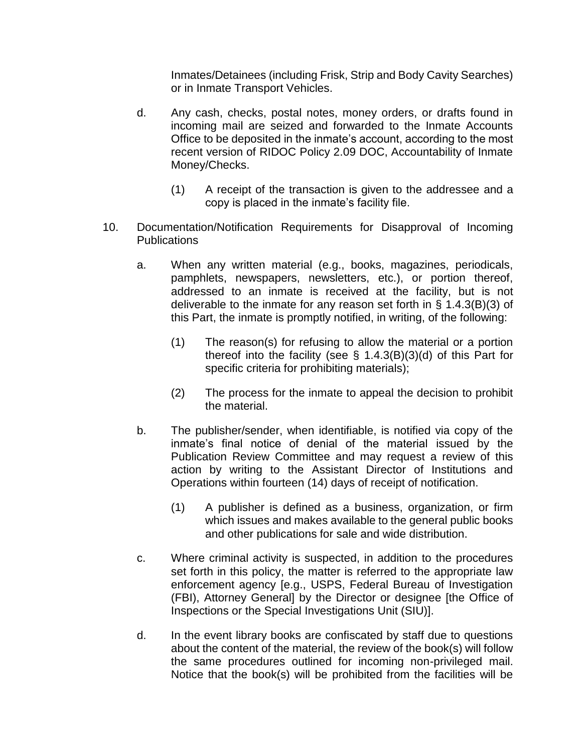Inmates/Detainees (including Frisk, Strip and Body Cavity Searches) or in Inmate Transport Vehicles.

- d. Any cash, checks, postal notes, money orders, or drafts found in incoming mail are seized and forwarded to the Inmate Accounts Office to be deposited in the inmate's account, according to the most recent version of RIDOC Policy 2.09 DOC, Accountability of Inmate Money/Checks.
	- (1) A receipt of the transaction is given to the addressee and a copy is placed in the inmate's facility file.
- 10. Documentation/Notification Requirements for Disapproval of Incoming **Publications** 
	- a. When any written material (e.g., books, magazines, periodicals, pamphlets, newspapers, newsletters, etc.), or portion thereof, addressed to an inmate is received at the facility, but is not deliverable to the inmate for any reason set forth in § 1.4.3(B)(3) of this Part, the inmate is promptly notified, in writing, of the following:
		- (1) The reason(s) for refusing to allow the material or a portion thereof into the facility (see  $\S$  1.4.3(B)(3)(d) of this Part for specific criteria for prohibiting materials);
		- (2) The process for the inmate to appeal the decision to prohibit the material.
	- b. The publisher/sender, when identifiable, is notified via copy of the inmate's final notice of denial of the material issued by the Publication Review Committee and may request a review of this action by writing to the Assistant Director of Institutions and Operations within fourteen (14) days of receipt of notification.
		- (1) A publisher is defined as a business, organization, or firm which issues and makes available to the general public books and other publications for sale and wide distribution.
	- c. Where criminal activity is suspected, in addition to the procedures set forth in this policy, the matter is referred to the appropriate law enforcement agency [e.g., USPS, Federal Bureau of Investigation (FBI), Attorney General] by the Director or designee [the Office of Inspections or the Special Investigations Unit (SIU)].
	- d. In the event library books are confiscated by staff due to questions about the content of the material, the review of the book(s) will follow the same procedures outlined for incoming non-privileged mail. Notice that the book(s) will be prohibited from the facilities will be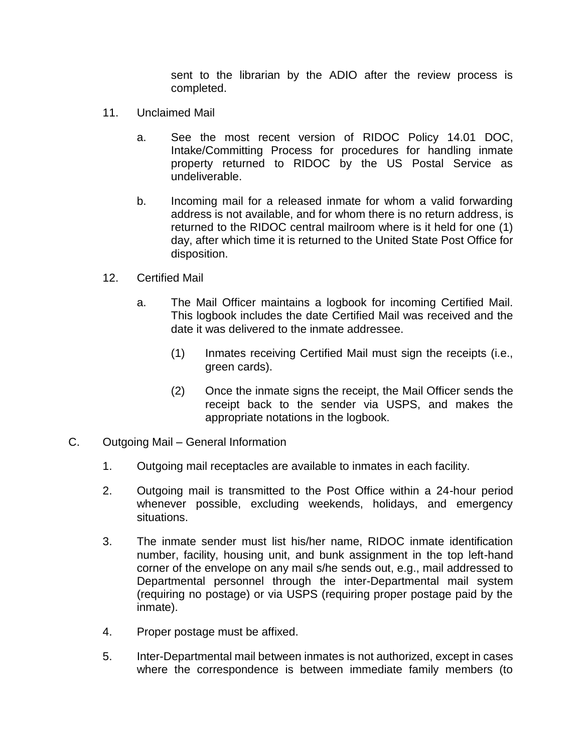sent to the librarian by the ADIO after the review process is completed.

- 11. Unclaimed Mail
	- a. See the most recent version of RIDOC Policy 14.01 DOC, Intake/Committing Process for procedures for handling inmate property returned to RIDOC by the US Postal Service as undeliverable.
	- b. Incoming mail for a released inmate for whom a valid forwarding address is not available, and for whom there is no return address, is returned to the RIDOC central mailroom where is it held for one (1) day, after which time it is returned to the United State Post Office for disposition.
- 12. Certified Mail
	- a. The Mail Officer maintains a logbook for incoming Certified Mail. This logbook includes the date Certified Mail was received and the date it was delivered to the inmate addressee.
		- (1) Inmates receiving Certified Mail must sign the receipts (i.e., green cards).
		- (2) Once the inmate signs the receipt, the Mail Officer sends the receipt back to the sender via USPS, and makes the appropriate notations in the logbook.
- C. Outgoing Mail General Information
	- 1. Outgoing mail receptacles are available to inmates in each facility.
	- 2. Outgoing mail is transmitted to the Post Office within a 24-hour period whenever possible, excluding weekends, holidays, and emergency situations.
	- 3. The inmate sender must list his/her name, RIDOC inmate identification number, facility, housing unit, and bunk assignment in the top left-hand corner of the envelope on any mail s/he sends out, e.g., mail addressed to Departmental personnel through the inter-Departmental mail system (requiring no postage) or via USPS (requiring proper postage paid by the inmate).
	- 4. Proper postage must be affixed.
	- 5. Inter-Departmental mail between inmates is not authorized, except in cases where the correspondence is between immediate family members (to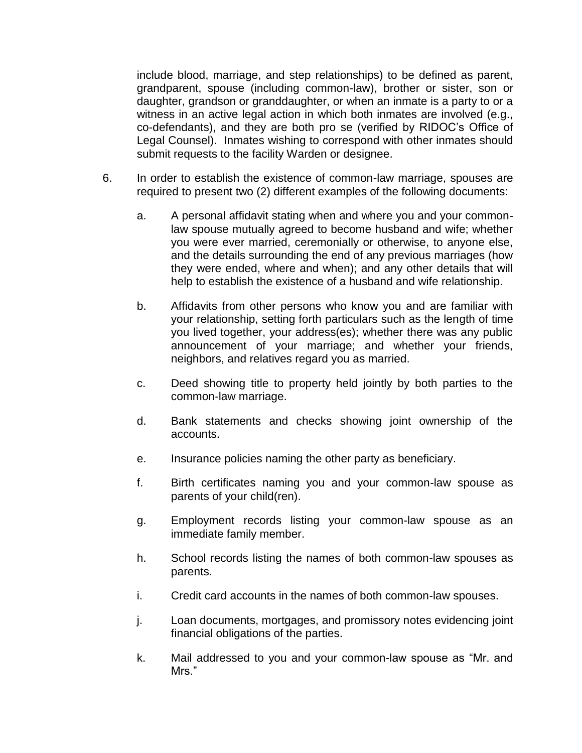include blood, marriage, and step relationships) to be defined as parent, grandparent, spouse (including common-law), brother or sister, son or daughter, grandson or granddaughter, or when an inmate is a party to or a witness in an active legal action in which both inmates are involved (e.g., co-defendants), and they are both pro se (verified by RIDOC's Office of Legal Counsel). Inmates wishing to correspond with other inmates should submit requests to the facility Warden or designee.

- 6. In order to establish the existence of common-law marriage, spouses are required to present two (2) different examples of the following documents:
	- a. A personal affidavit stating when and where you and your commonlaw spouse mutually agreed to become husband and wife; whether you were ever married, ceremonially or otherwise, to anyone else, and the details surrounding the end of any previous marriages (how they were ended, where and when); and any other details that will help to establish the existence of a husband and wife relationship.
	- b. Affidavits from other persons who know you and are familiar with your relationship, setting forth particulars such as the length of time you lived together, your address(es); whether there was any public announcement of your marriage; and whether your friends, neighbors, and relatives regard you as married.
	- c. Deed showing title to property held jointly by both parties to the common-law marriage.
	- d. Bank statements and checks showing joint ownership of the accounts.
	- e. Insurance policies naming the other party as beneficiary.
	- f. Birth certificates naming you and your common-law spouse as parents of your child(ren).
	- g. Employment records listing your common-law spouse as an immediate family member.
	- h. School records listing the names of both common-law spouses as parents.
	- i. Credit card accounts in the names of both common-law spouses.
	- j. Loan documents, mortgages, and promissory notes evidencing joint financial obligations of the parties.
	- k. Mail addressed to you and your common-law spouse as "Mr. and Mrs."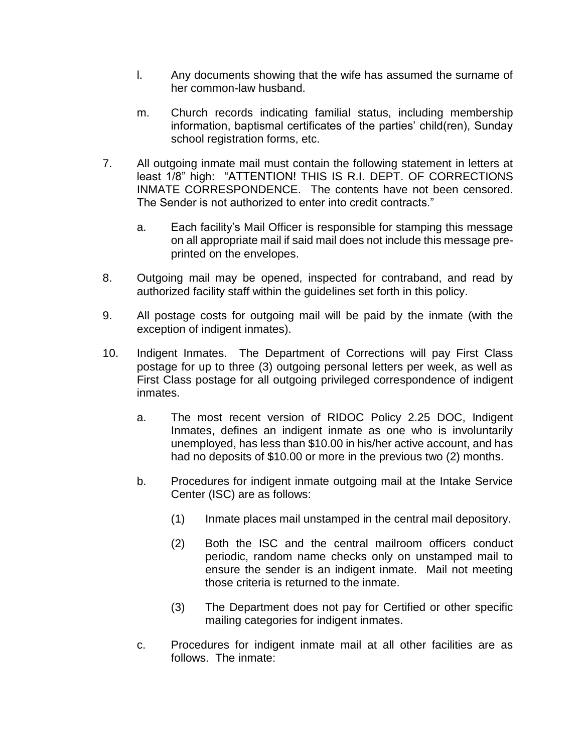- l. Any documents showing that the wife has assumed the surname of her common-law husband.
- m. Church records indicating familial status, including membership information, baptismal certificates of the parties' child(ren), Sunday school registration forms, etc.
- 7. All outgoing inmate mail must contain the following statement in letters at least 1/8" high: "ATTENTION! THIS IS R.I. DEPT. OF CORRECTIONS INMATE CORRESPONDENCE. The contents have not been censored. The Sender is not authorized to enter into credit contracts."
	- a. Each facility's Mail Officer is responsible for stamping this message on all appropriate mail if said mail does not include this message preprinted on the envelopes.
- 8. Outgoing mail may be opened, inspected for contraband, and read by authorized facility staff within the guidelines set forth in this policy.
- 9. All postage costs for outgoing mail will be paid by the inmate (with the exception of indigent inmates).
- 10. Indigent Inmates. The Department of Corrections will pay First Class postage for up to three (3) outgoing personal letters per week, as well as First Class postage for all outgoing privileged correspondence of indigent inmates.
	- a. The most recent version of RIDOC Policy 2.25 DOC, Indigent Inmates, defines an indigent inmate as one who is involuntarily unemployed, has less than \$10.00 in his/her active account, and has had no deposits of \$10.00 or more in the previous two (2) months.
	- b. Procedures for indigent inmate outgoing mail at the Intake Service Center (ISC) are as follows:
		- (1) Inmate places mail unstamped in the central mail depository.
		- (2) Both the ISC and the central mailroom officers conduct periodic, random name checks only on unstamped mail to ensure the sender is an indigent inmate. Mail not meeting those criteria is returned to the inmate.
		- (3) The Department does not pay for Certified or other specific mailing categories for indigent inmates.
	- c. Procedures for indigent inmate mail at all other facilities are as follows. The inmate: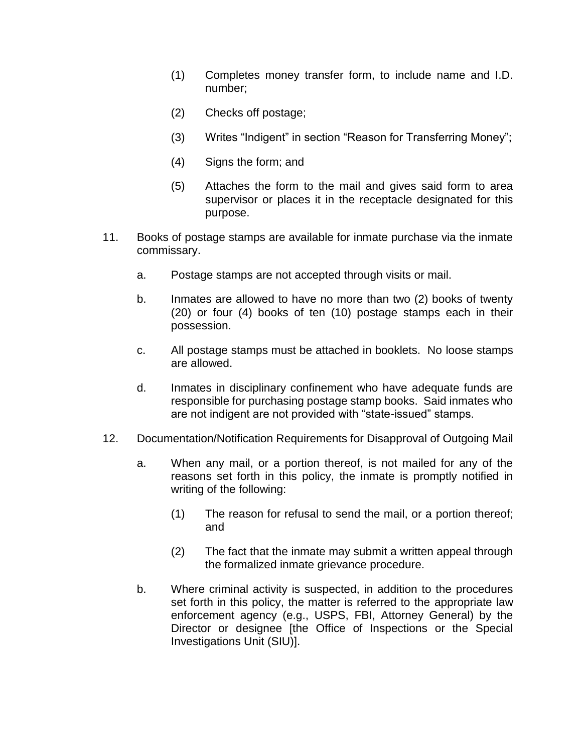- (1) Completes money transfer form, to include name and I.D. number;
- (2) Checks off postage;
- (3) Writes "Indigent" in section "Reason for Transferring Money";
- (4) Signs the form; and
- (5) Attaches the form to the mail and gives said form to area supervisor or places it in the receptacle designated for this purpose.
- 11. Books of postage stamps are available for inmate purchase via the inmate commissary.
	- a. Postage stamps are not accepted through visits or mail.
	- b. Inmates are allowed to have no more than two (2) books of twenty (20) or four (4) books of ten (10) postage stamps each in their possession.
	- c. All postage stamps must be attached in booklets. No loose stamps are allowed.
	- d. Inmates in disciplinary confinement who have adequate funds are responsible for purchasing postage stamp books. Said inmates who are not indigent are not provided with "state-issued" stamps.
- 12. Documentation/Notification Requirements for Disapproval of Outgoing Mail
	- a. When any mail, or a portion thereof, is not mailed for any of the reasons set forth in this policy, the inmate is promptly notified in writing of the following:
		- (1) The reason for refusal to send the mail, or a portion thereof; and
		- (2) The fact that the inmate may submit a written appeal through the formalized inmate grievance procedure.
	- b. Where criminal activity is suspected, in addition to the procedures set forth in this policy, the matter is referred to the appropriate law enforcement agency (e.g., USPS, FBI, Attorney General) by the Director or designee [the Office of Inspections or the Special Investigations Unit (SIU)].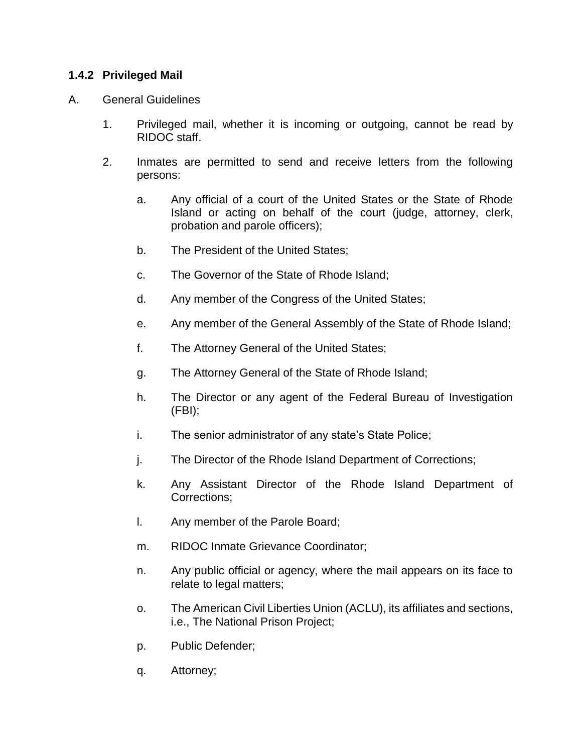## **1.4.2 Privileged Mail**

#### A. General Guidelines

- 1. Privileged mail, whether it is incoming or outgoing, cannot be read by RIDOC staff.
- 2. Inmates are permitted to send and receive letters from the following persons:
	- a. Any official of a court of the United States or the State of Rhode Island or acting on behalf of the court (judge, attorney, clerk, probation and parole officers);
	- b. The President of the United States;
	- c. The Governor of the State of Rhode Island;
	- d. Any member of the Congress of the United States;
	- e. Any member of the General Assembly of the State of Rhode Island;
	- f. The Attorney General of the United States;
	- g. The Attorney General of the State of Rhode Island;
	- h. The Director or any agent of the Federal Bureau of Investigation (FBI);
	- i. The senior administrator of any state's State Police;
	- j. The Director of the Rhode Island Department of Corrections;
	- k. Any Assistant Director of the Rhode Island Department of Corrections;
	- l. Any member of the Parole Board;
	- m. RIDOC Inmate Grievance Coordinator;
	- n. Any public official or agency, where the mail appears on its face to relate to legal matters;
	- o. The American Civil Liberties Union (ACLU), its affiliates and sections, i.e., The National Prison Project;
	- p. Public Defender;
	- q. Attorney;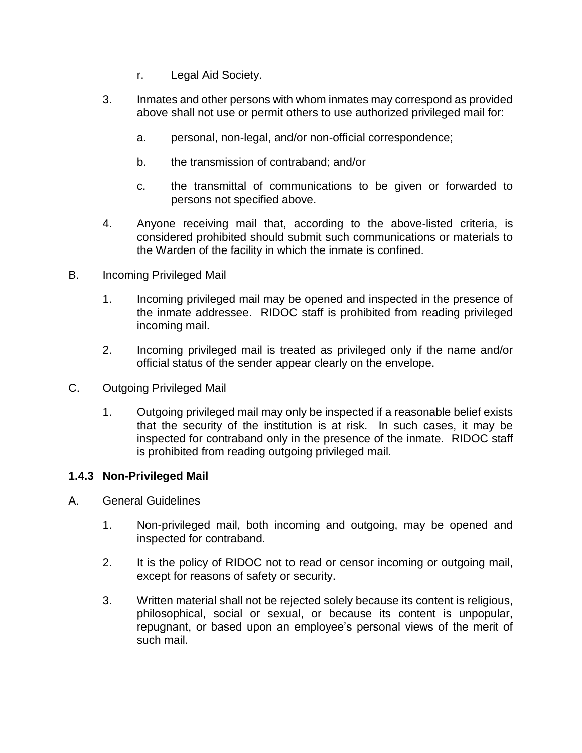- r. Legal Aid Society.
- 3. Inmates and other persons with whom inmates may correspond as provided above shall not use or permit others to use authorized privileged mail for:
	- a. personal, non-legal, and/or non-official correspondence;
	- b. the transmission of contraband; and/or
	- c. the transmittal of communications to be given or forwarded to persons not specified above.
- 4. Anyone receiving mail that, according to the above-listed criteria, is considered prohibited should submit such communications or materials to the Warden of the facility in which the inmate is confined.
- B. Incoming Privileged Mail
	- 1. Incoming privileged mail may be opened and inspected in the presence of the inmate addressee. RIDOC staff is prohibited from reading privileged incoming mail.
	- 2. Incoming privileged mail is treated as privileged only if the name and/or official status of the sender appear clearly on the envelope.
- C. Outgoing Privileged Mail
	- 1. Outgoing privileged mail may only be inspected if a reasonable belief exists that the security of the institution is at risk. In such cases, it may be inspected for contraband only in the presence of the inmate. RIDOC staff is prohibited from reading outgoing privileged mail.

#### **1.4.3 Non-Privileged Mail**

- A. General Guidelines
	- 1. Non-privileged mail, both incoming and outgoing, may be opened and inspected for contraband.
	- 2. It is the policy of RIDOC not to read or censor incoming or outgoing mail, except for reasons of safety or security.
	- 3. Written material shall not be rejected solely because its content is religious, philosophical, social or sexual, or because its content is unpopular, repugnant, or based upon an employee's personal views of the merit of such mail.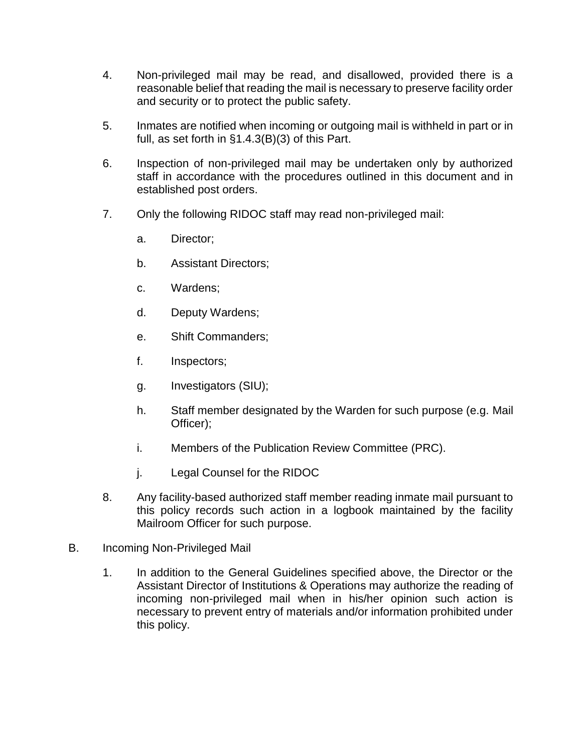- 4. Non-privileged mail may be read, and disallowed, provided there is a reasonable belief that reading the mail is necessary to preserve facility order and security or to protect the public safety.
- 5. Inmates are notified when incoming or outgoing mail is withheld in part or in full, as set forth in §1.4.3(B)(3) of this Part.
- 6. Inspection of non-privileged mail may be undertaken only by authorized staff in accordance with the procedures outlined in this document and in established post orders.
- 7. Only the following RIDOC staff may read non-privileged mail:
	- a. Director;
	- b. Assistant Directors;
	- c. Wardens;
	- d. Deputy Wardens;
	- e. Shift Commanders;
	- f. Inspectors;
	- g. Investigators (SIU);
	- h. Staff member designated by the Warden for such purpose (e.g. Mail Officer);
	- i. Members of the Publication Review Committee (PRC).
	- j. Legal Counsel for the RIDOC
- 8. Any facility-based authorized staff member reading inmate mail pursuant to this policy records such action in a logbook maintained by the facility Mailroom Officer for such purpose.
- B. Incoming Non-Privileged Mail
	- 1. In addition to the General Guidelines specified above, the Director or the Assistant Director of Institutions & Operations may authorize the reading of incoming non-privileged mail when in his/her opinion such action is necessary to prevent entry of materials and/or information prohibited under this policy.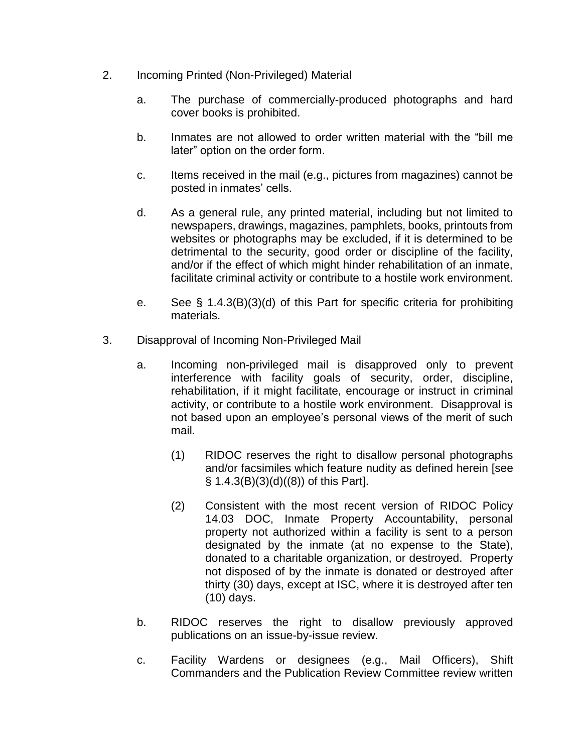- 2. Incoming Printed (Non-Privileged) Material
	- a. The purchase of commercially-produced photographs and hard cover books is prohibited.
	- b. Inmates are not allowed to order written material with the "bill me later" option on the order form.
	- c. Items received in the mail (e.g., pictures from magazines) cannot be posted in inmates' cells.
	- d. As a general rule, any printed material, including but not limited to newspapers, drawings, magazines, pamphlets, books, printouts from websites or photographs may be excluded, if it is determined to be detrimental to the security, good order or discipline of the facility, and/or if the effect of which might hinder rehabilitation of an inmate, facilitate criminal activity or contribute to a hostile work environment.
	- e. See § 1.4.3(B)(3)(d) of this Part for specific criteria for prohibiting materials.
- 3. Disapproval of Incoming Non-Privileged Mail
	- a. Incoming non-privileged mail is disapproved only to prevent interference with facility goals of security, order, discipline, rehabilitation, if it might facilitate, encourage or instruct in criminal activity, or contribute to a hostile work environment. Disapproval is not based upon an employee's personal views of the merit of such mail.
		- (1) RIDOC reserves the right to disallow personal photographs and/or facsimiles which feature nudity as defined herein [see § 1.4.3(B)(3)(d)((8)) of this Part].
		- (2) Consistent with the most recent version of RIDOC Policy 14.03 DOC, Inmate Property Accountability, personal property not authorized within a facility is sent to a person designated by the inmate (at no expense to the State), donated to a charitable organization, or destroyed. Property not disposed of by the inmate is donated or destroyed after thirty (30) days, except at ISC, where it is destroyed after ten (10) days.
	- b. RIDOC reserves the right to disallow previously approved publications on an issue-by-issue review.
	- c. Facility Wardens or designees (e.g., Mail Officers), Shift Commanders and the Publication Review Committee review written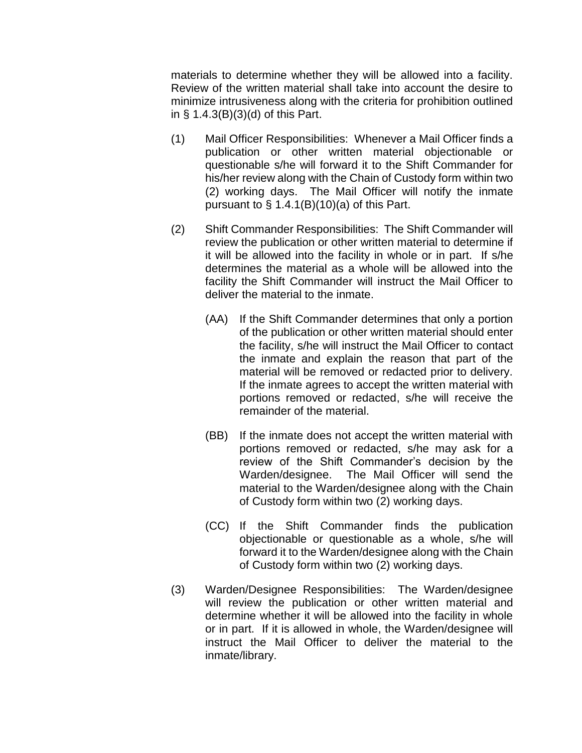materials to determine whether they will be allowed into a facility. Review of the written material shall take into account the desire to minimize intrusiveness along with the criteria for prohibition outlined in § 1.4.3(B)(3)(d) of this Part.

- (1) Mail Officer Responsibilities: Whenever a Mail Officer finds a publication or other written material objectionable or questionable s/he will forward it to the Shift Commander for his/her review along with the Chain of Custody form within two (2) working days. The Mail Officer will notify the inmate pursuant to  $\S$  1.4.1(B)(10)(a) of this Part.
- (2) Shift Commander Responsibilities: The Shift Commander will review the publication or other written material to determine if it will be allowed into the facility in whole or in part. If s/he determines the material as a whole will be allowed into the facility the Shift Commander will instruct the Mail Officer to deliver the material to the inmate.
	- (AA) If the Shift Commander determines that only a portion of the publication or other written material should enter the facility, s/he will instruct the Mail Officer to contact the inmate and explain the reason that part of the material will be removed or redacted prior to delivery. If the inmate agrees to accept the written material with portions removed or redacted, s/he will receive the remainder of the material.
	- (BB) If the inmate does not accept the written material with portions removed or redacted, s/he may ask for a review of the Shift Commander's decision by the Warden/designee. The Mail Officer will send the material to the Warden/designee along with the Chain of Custody form within two (2) working days.
	- (CC) If the Shift Commander finds the publication objectionable or questionable as a whole, s/he will forward it to the Warden/designee along with the Chain of Custody form within two (2) working days.
- (3) Warden/Designee Responsibilities: The Warden/designee will review the publication or other written material and determine whether it will be allowed into the facility in whole or in part. If it is allowed in whole, the Warden/designee will instruct the Mail Officer to deliver the material to the inmate/library.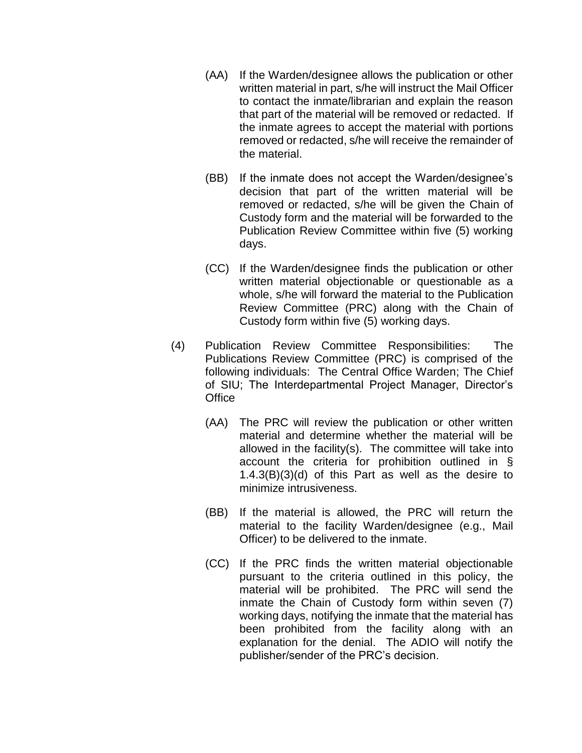- (AA) If the Warden/designee allows the publication or other written material in part, s/he will instruct the Mail Officer to contact the inmate/librarian and explain the reason that part of the material will be removed or redacted. If the inmate agrees to accept the material with portions removed or redacted, s/he will receive the remainder of the material.
- (BB) If the inmate does not accept the Warden/designee's decision that part of the written material will be removed or redacted, s/he will be given the Chain of Custody form and the material will be forwarded to the Publication Review Committee within five (5) working days.
- (CC) If the Warden/designee finds the publication or other written material objectionable or questionable as a whole, s/he will forward the material to the Publication Review Committee (PRC) along with the Chain of Custody form within five (5) working days.
- (4) Publication Review Committee Responsibilities: The Publications Review Committee (PRC) is comprised of the following individuals: The Central Office Warden; The Chief of SIU; The Interdepartmental Project Manager, Director's **Office** 
	- (AA) The PRC will review the publication or other written material and determine whether the material will be allowed in the facility(s). The committee will take into account the criteria for prohibition outlined in § 1.4.3(B)(3)(d) of this Part as well as the desire to minimize intrusiveness.
	- (BB) If the material is allowed, the PRC will return the material to the facility Warden/designee (e.g., Mail Officer) to be delivered to the inmate.
	- (CC) If the PRC finds the written material objectionable pursuant to the criteria outlined in this policy, the material will be prohibited. The PRC will send the inmate the Chain of Custody form within seven (7) working days, notifying the inmate that the material has been prohibited from the facility along with an explanation for the denial. The ADIO will notify the publisher/sender of the PRC's decision.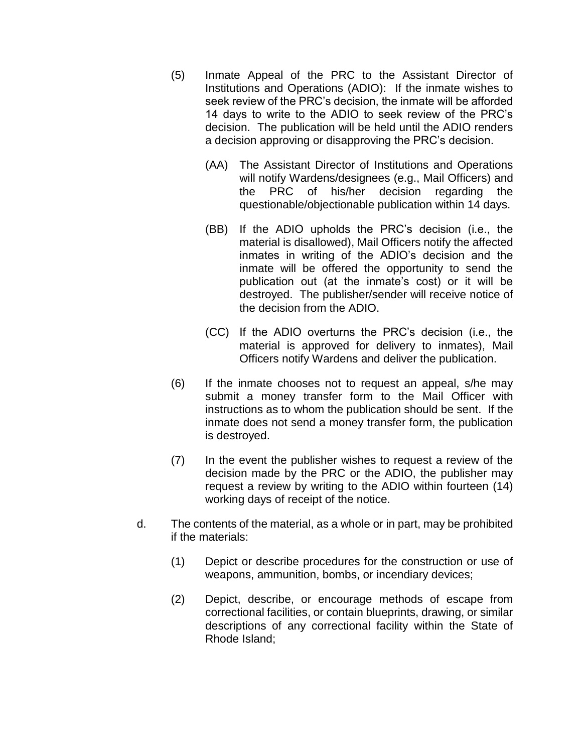- (5) Inmate Appeal of the PRC to the Assistant Director of Institutions and Operations (ADIO): If the inmate wishes to seek review of the PRC's decision, the inmate will be afforded 14 days to write to the ADIO to seek review of the PRC's decision. The publication will be held until the ADIO renders a decision approving or disapproving the PRC's decision.
	- (AA) The Assistant Director of Institutions and Operations will notify Wardens/designees (e.g., Mail Officers) and the PRC of his/her decision regarding the questionable/objectionable publication within 14 days.
	- (BB) If the ADIO upholds the PRC's decision (i.e., the material is disallowed), Mail Officers notify the affected inmates in writing of the ADIO's decision and the inmate will be offered the opportunity to send the publication out (at the inmate's cost) or it will be destroyed. The publisher/sender will receive notice of the decision from the ADIO.
	- (CC) If the ADIO overturns the PRC's decision (i.e., the material is approved for delivery to inmates), Mail Officers notify Wardens and deliver the publication.
- (6) If the inmate chooses not to request an appeal, s/he may submit a money transfer form to the Mail Officer with instructions as to whom the publication should be sent. If the inmate does not send a money transfer form, the publication is destroyed.
- (7) In the event the publisher wishes to request a review of the decision made by the PRC or the ADIO, the publisher may request a review by writing to the ADIO within fourteen (14) working days of receipt of the notice.
- d. The contents of the material, as a whole or in part, may be prohibited if the materials:
	- (1) Depict or describe procedures for the construction or use of weapons, ammunition, bombs, or incendiary devices;
	- (2) Depict, describe, or encourage methods of escape from correctional facilities, or contain blueprints, drawing, or similar descriptions of any correctional facility within the State of Rhode Island;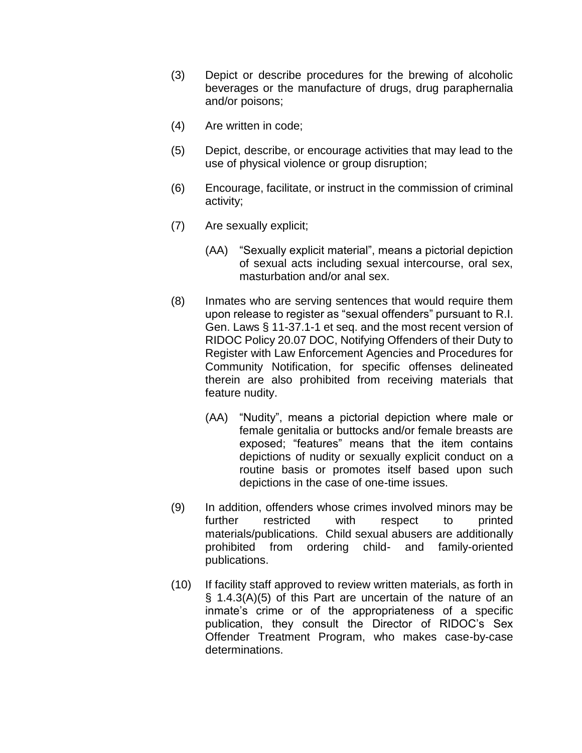- (3) Depict or describe procedures for the brewing of alcoholic beverages or the manufacture of drugs, drug paraphernalia and/or poisons;
- (4) Are written in code;
- (5) Depict, describe, or encourage activities that may lead to the use of physical violence or group disruption;
- (6) Encourage, facilitate, or instruct in the commission of criminal activity;
- (7) Are sexually explicit;
	- (AA) "Sexually explicit material", means a pictorial depiction of sexual acts including sexual intercourse, oral sex, masturbation and/or anal sex.
- (8) Inmates who are serving sentences that would require them upon release to register as "sexual offenders" pursuant to R.I. Gen. Laws § 11-37.1-1 et seq. and the most recent version of RIDOC Policy 20.07 DOC, Notifying Offenders of their Duty to Register with Law Enforcement Agencies and Procedures for Community Notification, for specific offenses delineated therein are also prohibited from receiving materials that feature nudity.
	- (AA) "Nudity", means a pictorial depiction where male or female genitalia or buttocks and/or female breasts are exposed; "features" means that the item contains depictions of nudity or sexually explicit conduct on a routine basis or promotes itself based upon such depictions in the case of one-time issues.
- (9) In addition, offenders whose crimes involved minors may be further restricted with respect to printed materials/publications. Child sexual abusers are additionally prohibited from ordering child- and family-oriented publications.
- (10) If facility staff approved to review written materials, as forth in § 1.4.3(A)(5) of this Part are uncertain of the nature of an inmate's crime or of the appropriateness of a specific publication, they consult the Director of RIDOC's Sex Offender Treatment Program, who makes case-by-case determinations.